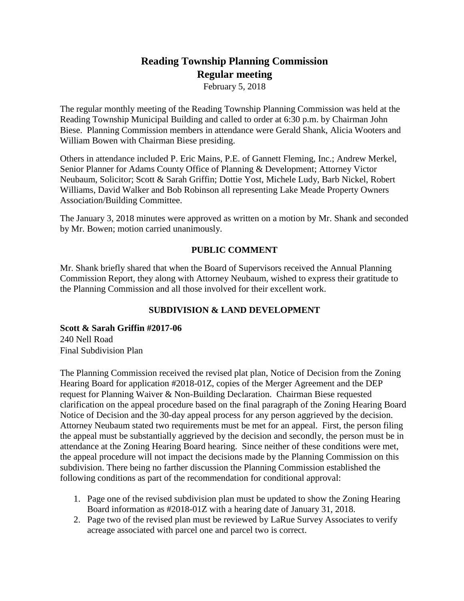# **Reading Township Planning Commission Regular meeting**

February 5, 2018

The regular monthly meeting of the Reading Township Planning Commission was held at the Reading Township Municipal Building and called to order at 6:30 p.m. by Chairman John Biese. Planning Commission members in attendance were Gerald Shank, Alicia Wooters and William Bowen with Chairman Biese presiding.

Others in attendance included P. Eric Mains, P.E. of Gannett Fleming, Inc.; Andrew Merkel, Senior Planner for Adams County Office of Planning & Development; Attorney Victor Neubaum, Solicitor; Scott & Sarah Griffin; Dottie Yost, Michele Ludy, Barb Nickel, Robert Williams, David Walker and Bob Robinson all representing Lake Meade Property Owners Association/Building Committee.

The January 3, 2018 minutes were approved as written on a motion by Mr. Shank and seconded by Mr. Bowen; motion carried unanimously.

## **PUBLIC COMMENT**

Mr. Shank briefly shared that when the Board of Supervisors received the Annual Planning Commission Report, they along with Attorney Neubaum, wished to express their gratitude to the Planning Commission and all those involved for their excellent work.

## **SUBDIVISION & LAND DEVELOPMENT**

**Scott & Sarah Griffin #2017-06** 240 Nell Road Final Subdivision Plan

The Planning Commission received the revised plat plan, Notice of Decision from the Zoning Hearing Board for application #2018-01Z, copies of the Merger Agreement and the DEP request for Planning Waiver & Non-Building Declaration. Chairman Biese requested clarification on the appeal procedure based on the final paragraph of the Zoning Hearing Board Notice of Decision and the 30-day appeal process for any person aggrieved by the decision. Attorney Neubaum stated two requirements must be met for an appeal. First, the person filing the appeal must be substantially aggrieved by the decision and secondly, the person must be in attendance at the Zoning Hearing Board hearing. Since neither of these conditions were met, the appeal procedure will not impact the decisions made by the Planning Commission on this subdivision. There being no farther discussion the Planning Commission established the following conditions as part of the recommendation for conditional approval:

- 1. Page one of the revised subdivision plan must be updated to show the Zoning Hearing Board information as #2018-01Z with a hearing date of January 31, 2018.
- 2. Page two of the revised plan must be reviewed by LaRue Survey Associates to verify acreage associated with parcel one and parcel two is correct.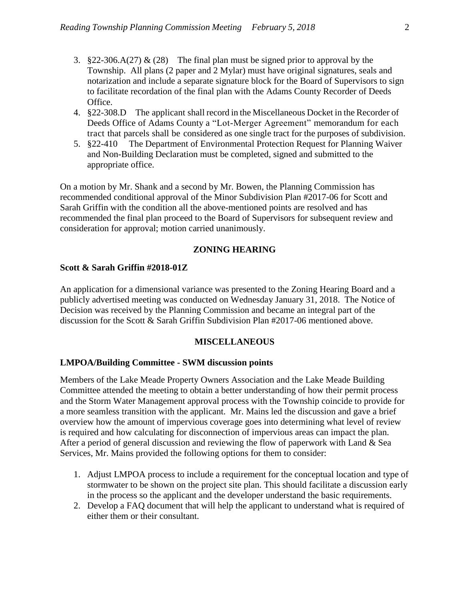- 3.  $\S 22-306.A(27) & (28)$  The final plan must be signed prior to approval by the Township. All plans (2 paper and 2 Mylar) must have original signatures, seals and notarization and include a separate signature block for the Board of Supervisors to sign to facilitate recordation of the final plan with the Adams County Recorder of Deeds Office.
- 4. §22-308.D The applicant shall record in the Miscellaneous Docket in the Recorder of Deeds Office of Adams County a "Lot-Merger Agreement" memorandum for each tract that parcels shall be considered as one single tract for the purposes of subdivision.
- 5. §22-410 The Department of Environmental Protection Request for Planning Waiver and Non-Building Declaration must be completed, signed and submitted to the appropriate office.

On a motion by Mr. Shank and a second by Mr. Bowen, the Planning Commission has recommended conditional approval of the Minor Subdivision Plan #2017-06 for Scott and Sarah Griffin with the condition all the above-mentioned points are resolved and has recommended the final plan proceed to the Board of Supervisors for subsequent review and consideration for approval; motion carried unanimously.

#### **ZONING HEARING**

#### **Scott & Sarah Griffin #2018-01Z**

An application for a dimensional variance was presented to the Zoning Hearing Board and a publicly advertised meeting was conducted on Wednesday January 31, 2018. The Notice of Decision was received by the Planning Commission and became an integral part of the discussion for the Scott & Sarah Griffin Subdivision Plan #2017-06 mentioned above.

#### **MISCELLANEOUS**

#### **LMPOA/Building Committee - SWM discussion points**

Members of the Lake Meade Property Owners Association and the Lake Meade Building Committee attended the meeting to obtain a better understanding of how their permit process and the Storm Water Management approval process with the Township coincide to provide for a more seamless transition with the applicant. Mr. Mains led the discussion and gave a brief overview how the amount of impervious coverage goes into determining what level of review is required and how calculating for disconnection of impervious areas can impact the plan. After a period of general discussion and reviewing the flow of paperwork with Land & Sea Services, Mr. Mains provided the following options for them to consider:

- 1. Adjust LMPOA process to include a requirement for the conceptual location and type of stormwater to be shown on the project site plan. This should facilitate a discussion early in the process so the applicant and the developer understand the basic requirements.
- 2. Develop a FAQ document that will help the applicant to understand what is required of either them or their consultant.